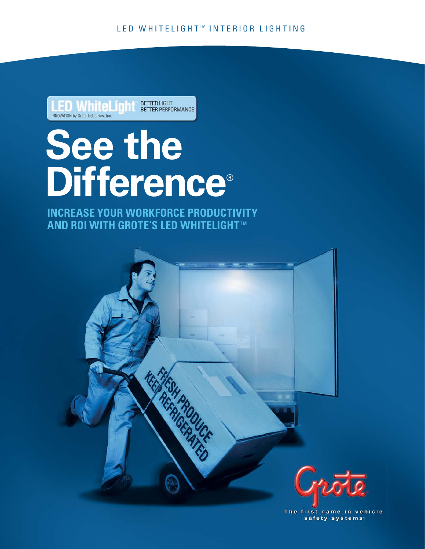**BETTER LIGHT BETTER PERFORMANCE** INNOVATION by Grote Industries, Inc.

# **See the Difference®**

**INCREASE YOUR WORKFORCE PRODUCTIVITY AND ROI WITH GROTE'S LED WHITELIGHT™** 

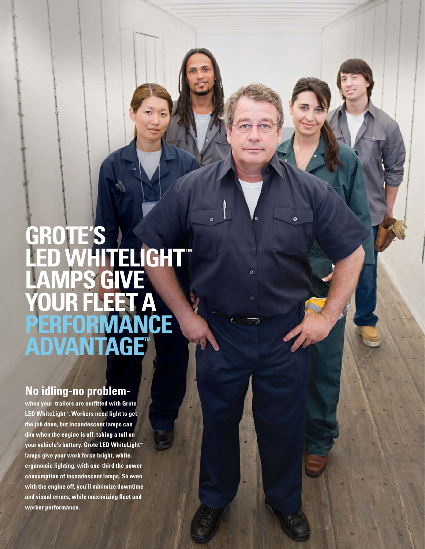# **GROTE'S LED WHITELIGHT LAMPS GIVE YOUR FLEET A PERFORMANCE ADVANTAGET**

Ó

# **No idling-no problem-**

**when your trailers are outfitted with Grote**  LED WhiteLight<sup>\*</sup>. Workers need light to get **the job done, but incandescent lamps can dim when the engine is off, taking a toll on**  your vehicle's battery. Grote LED WhiteLight<sup>™</sup> **lamps give your work force bright, white, ergonomic lighting, with one-third the power consumption of incandescent lamps. So even with the engine off, you'll minimize downtime and visual errors, while maximizing fleet and worker performance.**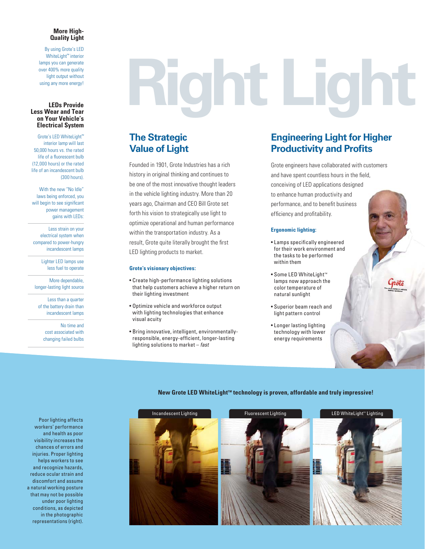#### **More High-Quality Light**

By using Grote's LED WhiteLight<sup>™</sup> interior lamps you can generate over 400% more quality light output without using any more energy!

# **Right Light**

# **The Strategic Value of Light**

Founded in 1901, Grote Industries has a rich history in original thinking and continues to be one of the most innovative thought leaders in the vehicle lighting industry. More than 20 years ago, Chairman and CEO Bill Grote set forth his vision to strategically use light to optimize operational and human performance within the transportation industry. As a result, Grote quite literally brought the first LED lighting products to market.

#### **Grote's visionary objectives:**

- Create high-performance lighting solutions that help customers achieve a higher return on their lighting investment
- . Optimize vehicle and workforce output with lighting technologies that enhance visual acuity
- Bring innovative, intelligent, environmentallyresponsible, energy-efficient, longer-lasting lighting solutions to market - fast

# **Engineering Light for Higher Productivity and Profits**

Grote engineers have collaborated with customers and have spent countless hours in the field, conceiving of LED applications designed to enhance human productivity and performance, and to benefit business efficiency and profitability.

#### **Ergonomic lighting:**

- Lamps specifically engineered for their work environment and the tasks to be performed within them
- Some LED WhiteLight™ lamps now approach the color temperature of natural sunlight
- Superior beam reach and light pattern control
- Longer lasting lighting technology with lower energy requirements

#### New Grote LED WhiteLight<sup>™</sup> technology is proven, affordable and truly impressive!



Poor lighting affects workers' performance and health as poor visibility increases the chances of errors and injuries. Proper lighting helps workers to see and recognize hazards, reduce ocular strain and discomfort and assume a natural working posture that may not be possible under poor lighting conditions, as depicted in the photographic representations (right).

**Less Wear and Tear on Your Vehicle's Electrical System** Grote's LED WhiteLight™ interior lamp will last

**LEDs Provide** 

50,000 hours vs. the rated life of a fluorescent bulb (12,000 hours) or the rated life of an incandescent bulb (300 hours).

With the new "No Idle" laws being enforced, you will begin to see significant power management gains with LEDs:

Less strain on your electrical system when compared to power-hungry incandescent lamps

> Lighter LED lamps use less fuel to operate

More dependable, longer-lasting light source

Less than a quarter of the battery drain than incandescent lamps

> No time and cost associated with changing failed bulbs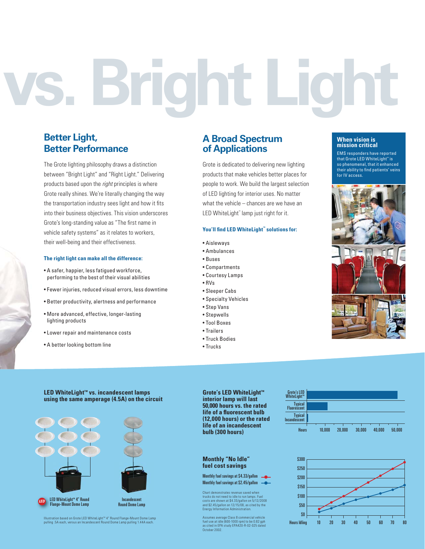# **vs. Bright Light**

# **Better Light, Better Performance**

The Grote lighting philosophy draws a distinction between "Bright Light" and "Right Light." Delivering products based upon the *right* principles is where Grote really shines. We're literally changing the way the transportation industry sees light and how it fits into their business objectives. This vision underscores Grote's long-standing value as "The first name in vehicle safety systems" as it relates to workers, their well-being and their effectiveness.

#### **The right light can make all the difference:**

- A safer, happier, less fatigued workforce, performing to the best of their visual abilities
- Fewer injuries, reduced visual errors, less downtime
- Better productivity, alertness and performance
- More advanced, effective, longer-lasting lighting products
- Lower repair and maintenance costs
- A better looking bottom line

### **A Broad Spectrum of Applications**

Grote is dedicated to delivering new lighting products that make vehicles better places for people to work. We build the largest selection of LED lighting for interior uses. No matter what the vehicle – chances are we have an LED WhiteLight™ lamp just right for it.

#### **You'll find LED WhiteLight™ solutions for:**

- Aisleways
- Ambulances
- $\bullet$  Russe
- $\bullet$  Compartments
- Courtesy Lamps
- $\cdot$ RVs
- Sleeper Cabs
- Specialty Vehicles
- Step Vans
- Stepwells
- Tool Boxes
- Trailers
- · Truck Bodies
- $\bullet$ Trucks

#### **When vision is mission critical**

EMS responders have reported that Grote LED WhiteLight™ is so phenomenal, that it enhanced their ability to find patients' veins for IV access.







**Grote's LED WhiteLight™ interior lamp will last 50,000 hours vs. the rated life of a fluorescent bulb (12,000 hours) or the rated life of an incandescent bulb (300 hours)** 

#### **Monthly "No Idle" fuel cost savings**

Monthly fuel savings at \$4.33/gallon Monthly fuel savings at \$2.45/gallon

Chart demonstrates revenue saved when trucks do not need to idle to run lamps. Fuel costs are shown at \$4.33/gallon on 5/12/2008 and \$2.45/gallon on 12/15/08, as cited by the Energy Information Administration.

Assumes average Class 8 commercial vehicle fuel use at idle (600-1000 rpm) to be 0.82 gph as cited in EPA study EPA420-R-02-025 dated October 2002.





Illustration based on Grote LED WhiteLight™ 4″ Round Flange-Mount Dome Lamp<br>pulling .5A each, versus an Incandescent Round Dome Lamp pulling 1.44A each.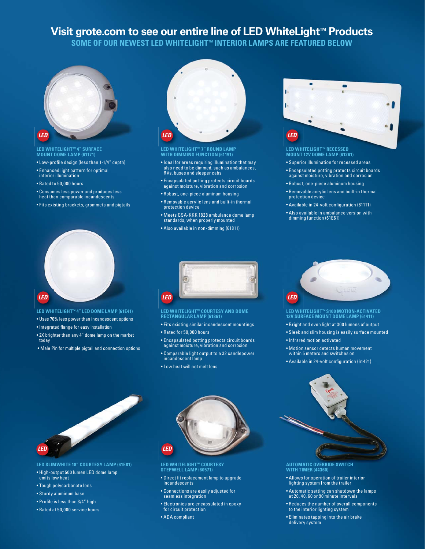# **Visit grote.com to see our entire line of LED WhiteLight™ Products**

SOME OF OUR NEWEST LED WHITELIGHT™ INTERIOR LAMPS ARE FEATURED BELOW



# **LED WHITELIGHT™ 4" SURFACE MOUNT DOME LAMP (61171)**

- Low-profile design (less than 1-1/4" depth)
- Enhanced light pattern for optimal interior illumination
- $\bullet$  Rated to 50,000 hours
- Consumes less power and produces less heat than comparable incandescents
- Fits existing brackets, grommets and pigtails



- **LED WHITELIGHT™ 4" LED DOME LAMP (61E41)**
- Uses 70% less power than incandescent options
- Integrated flange for easy installation
- 2X brighter than any 4" dome lamp on the market today
- Male Pin for multiple pigtail and connection options



# **LED WHITELIGHT™ 7" ROUND LAMP WITH DIMMING FUNCTION (61191)**

- Ideal for areas requiring illumination that may also need to be dimmed, such as ambulances, RVs, buses and sleeper cabs
- Encapsulated potting protects circuit boards against moisture, vibration and corrosion
- Robust, one-piece aluminum housing
- $\bullet$  Removable acrylic lens and built-in thermal protection device
- Meets GSA-KKK 1828 ambulance dome lamp standards, when properly mounted
- Also available in non-dimming (61811)



# **LED WHITELIGHT™ RECESSED MOUNT 12V DOME LAMP (61261)**

- Superior illumination for recessed areas
- Encapsulated potting protects circuit boards against moisture, vibration and corrosion
- Robust, one-piece aluminum housing
- Removable acrylic lens and built-in thermal protection device
- Available in 24-volt configuration (61111)
- Also available in ambulance version with<br>⊓dimming function (61E61)



# **LED WHITELIGHT™ COURTESY AND DOME RECTANGULAR LAMP (61861)**

- Fits existing similar incandescent mountings
- Rated for 50,000 hours
- Encapsulated potting protects circuit boards against moisture, vibration and corrosion
- Comparable light output to a 32 candlepower incandescent lamp
- Low heat will not melt lens



# **LED WHITELIGHT™ S100 MOTION-ACTIVATED 12V SURFACE MOUNT DOME LAMP (61411)**

- Bright and even light at 300 lumens of output
- Sleek and slim housing is easily surface mounted
- Infrared motion activated
- Motion sensor detects human movement<br>within 5 meters and switches on
- Available in 24-volt configuration (61421)



**LED SLIMWHITE 18" COURTESY LAMP (61E81)**

- High-output 500 lumen LED dome lamp emits low heat
- Tough polycarbonate lens
- Sturdy aluminum base
- Profile is less than 3/4" high
- Rated at 50,000 service hours



### **LED WHITELIGHT™ COURTESY STEPWELL LAMP (60571)**

- Direct fit replacement lamp to upgrade incandescents
- Connections are easily adjusted for<br>seamless integration
- Electronics are encapsulated in epoxy for circuit protection
- ADA compliant



#### **AUTOMATIC OVERRIDE SWITCH WITH TIMER (44360)**

- Allows for operation of trailer interior lighting system from the trailer
- Automatic setting can shutdown the lamps<br>at 20, 40, 60 or 90 minute intervals
- $\bullet$  Reduces the number of overall components<br>to the interior lighting system
- $\bullet$  Eliminates tapping into the air brake delivery system